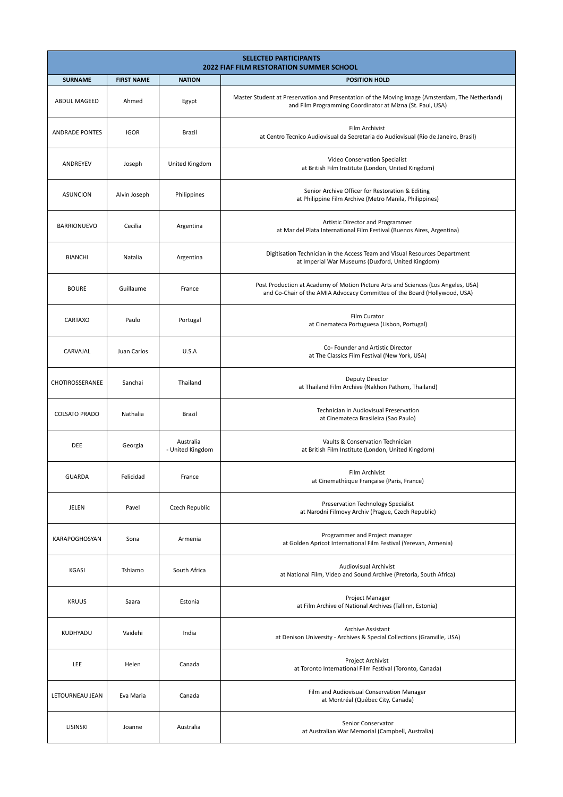| <b>SELECTED PARTICIPANTS</b><br><b>2022 FIAF FILM RESTORATION SUMMER SCHOOL</b> |                   |                               |                                                                                                                                                                |  |
|---------------------------------------------------------------------------------|-------------------|-------------------------------|----------------------------------------------------------------------------------------------------------------------------------------------------------------|--|
| <b>SURNAME</b>                                                                  | <b>FIRST NAME</b> | <b>NATION</b>                 | <b>POSITION HOLD</b>                                                                                                                                           |  |
| <b>ABDUL MAGEED</b>                                                             | Ahmed             | Egypt                         | Master Student at Preservation and Presentation of the Moving Image (Amsterdam, The Netherland)<br>and Film Programming Coordinator at Mizna (St. Paul, USA)   |  |
| <b>ANDRADE PONTES</b>                                                           | <b>IGOR</b>       | Brazil                        | Film Archivist<br>at Centro Tecnico Audiovisual da Secretaria do Audiovisual (Rio de Janeiro, Brasil)                                                          |  |
| ANDREYEV                                                                        | Joseph            | United Kingdom                | Video Conservation Specialist<br>at British Film Institute (London, United Kingdom)                                                                            |  |
| <b>ASUNCION</b>                                                                 | Alvin Joseph      | Philippines                   | Senior Archive Officer for Restoration & Editing<br>at Philippine Film Archive (Metro Manila, Philippines)                                                     |  |
| <b>BARRIONUEVO</b>                                                              | Cecilia           | Argentina                     | Artistic Director and Programmer<br>at Mar del Plata International Film Festival (Buenos Aires, Argentina)                                                     |  |
| <b>BIANCHI</b>                                                                  | Natalia           | Argentina                     | Digitisation Technician in the Access Team and Visual Resources Department<br>at Imperial War Museums (Duxford, United Kingdom)                                |  |
| <b>BOURE</b>                                                                    | Guillaume         | France                        | Post Production at Academy of Motion Picture Arts and Sciences (Los Angeles, USA)<br>and Co-Chair of the AMIA Advocacy Committee of the Board (Hollywood, USA) |  |
| <b>CARTAXO</b>                                                                  | Paulo             | Portugal                      | Film Curator<br>at Cinemateca Portuguesa (Lisbon, Portugal)                                                                                                    |  |
| CARVAJAL                                                                        | Juan Carlos       | U.S.A                         | Co- Founder and Artistic Director<br>at The Classics Film Festival (New York, USA)                                                                             |  |
| CHOTIROSSERANEE                                                                 | Sanchai           | Thailand                      | <b>Deputy Director</b><br>at Thailand Film Archive (Nakhon Pathom, Thailand)                                                                                   |  |
| <b>COLSATO PRADO</b>                                                            | Nathalia          | Brazil                        | Technician in Audiovisual Preservation<br>at Cinemateca Brasileira (Sao Paulo)                                                                                 |  |
| DEE                                                                             | Georgia           | Australia<br>- United Kingdom | Vaults & Conservation Technician<br>at British Film Institute (London, United Kingdom)                                                                         |  |
| <b>GUARDA</b>                                                                   | Felicidad         | France                        | Film Archivist<br>at Cinemathèque Française (Paris, France)                                                                                                    |  |
| JELEN                                                                           | Pavel             | Czech Republic                | Preservation Technology Specialist<br>at Narodni Filmovy Archiv (Prague, Czech Republic)                                                                       |  |
| KARAPOGHOSYAN                                                                   | Sona              | Armenia                       | Programmer and Project manager<br>at Golden Apricot International Film Festival (Yerevan, Armenia)                                                             |  |
| KGASI                                                                           | Tshiamo           | South Africa                  | <b>Audiovisual Archivist</b><br>at National Film, Video and Sound Archive (Pretoria, South Africa)                                                             |  |
| <b>KRUUS</b>                                                                    | Saara             | Estonia                       | Project Manager<br>at Film Archive of National Archives (Tallinn, Estonia)                                                                                     |  |
| KUDHYADU                                                                        | Vaidehi           | India                         | <b>Archive Assistant</b><br>at Denison University - Archives & Special Collections (Granville, USA)                                                            |  |
| LEE                                                                             | Helen             | Canada                        | Project Archivist<br>at Toronto International Film Festival (Toronto, Canada)                                                                                  |  |
| LETOURNEAU JEAN                                                                 | Eva Maria         | Canada                        | Film and Audiovisual Conservation Manager<br>at Montréal (Québec City, Canada)                                                                                 |  |
| LISINSKI                                                                        | Joanne            | Australia                     | Senior Conservator<br>at Australian War Memorial (Campbell, Australia)                                                                                         |  |